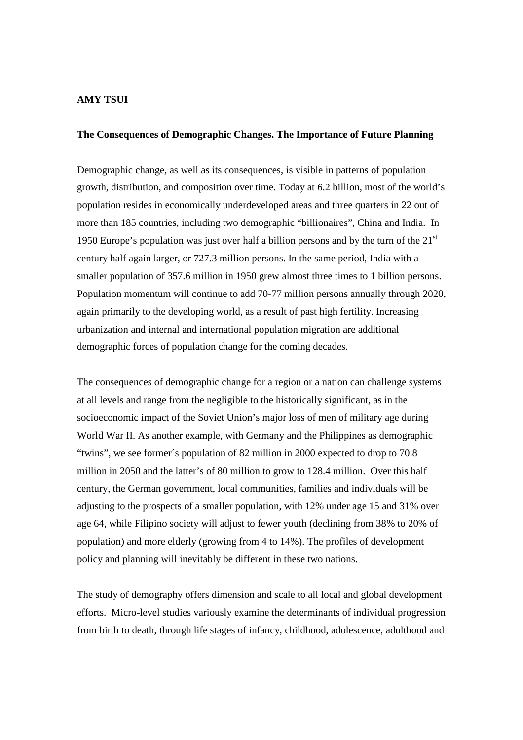## **AMY TSUI**

## **The Consequences of Demographic Changes. The Importance of Future Planning**

Demographic change, as well as its consequences, is visible in patterns of population growth, distribution, and composition over time. Today at 6.2 billion, most of the world's population resides in economically underdeveloped areas and three quarters in 22 out of more than 185 countries, including two demographic "billionaires", China and India. In 1950 Europe's population was just over half a billion persons and by the turn of the  $21<sup>st</sup>$ century half again larger, or 727.3 million persons. In the same period, India with a smaller population of 357.6 million in 1950 grew almost three times to 1 billion persons. Population momentum will continue to add 70-77 million persons annually through 2020, again primarily to the developing world, as a result of past high fertility. Increasing urbanization and internal and international population migration are additional demographic forces of population change for the coming decades.

The consequences of demographic change for a region or a nation can challenge systems at all levels and range from the negligible to the historically significant, as in the socioeconomic impact of the Soviet Union's major loss of men of military age during World War II. As another example, with Germany and the Philippines as demographic "twins", we see former´s population of 82 million in 2000 expected to drop to 70.8 million in 2050 and the latter's of 80 million to grow to 128.4 million. Over this half century, the German government, local communities, families and individuals will be adjusting to the prospects of a smaller population, with 12% under age 15 and 31% over age 64, while Filipino society will adjust to fewer youth (declining from 38% to 20% of population) and more elderly (growing from 4 to 14%). The profiles of development policy and planning will inevitably be different in these two nations.

The study of demography offers dimension and scale to all local and global development efforts. Micro-level studies variously examine the determinants of individual progression from birth to death, through life stages of infancy, childhood, adolescence, adulthood and